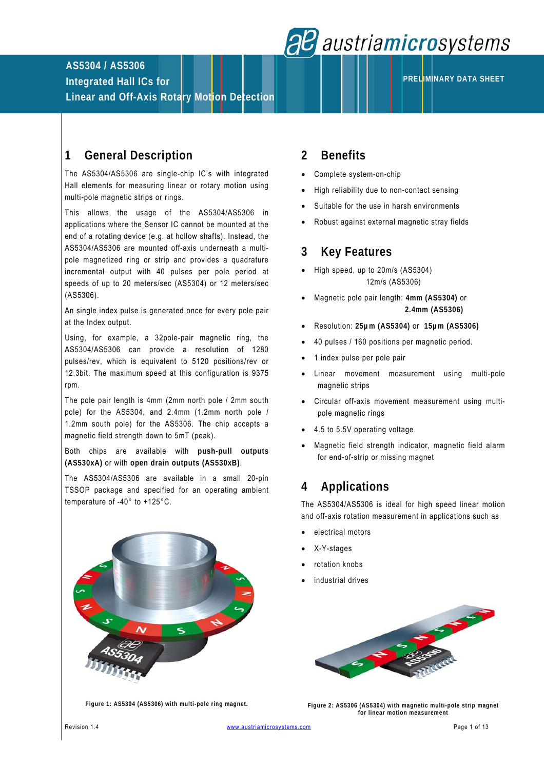

**PRELIMINARY DATA SHEET**

# **AS5304 / AS5306**

**Integrated Hall ICs for** 

**Linear and Off-Axis Rotary Motion Detection** 

# **1 General Description**

The AS5304/AS5306 are single-chip IC's with integrated Hall elements for measuring linear or rotary motion using multi-pole magnetic strips or rings.

This allows the usage of the AS5304/AS5306 in applications where the Sensor IC cannot be mounted at the end of a rotating device (e.g. at hollow shafts). Instead, the AS5304/AS5306 are mounted off-axis underneath a multipole magnetized ring or strip and provides a quadrature incremental output with 40 pulses per pole period at speeds of up to 20 meters/sec (AS5304) or 12 meters/sec (AS5306).

An single index pulse is generated once for every pole pair at the Index output.

Using, for example, a 32pole-pair magnetic ring, the AS5304/AS5306 can provide a resolution of 1280 pulses/rev, which is equivalent to 5120 positions/rev or 12.3bit. The maximum speed at this configuration is 9375 rpm.

The pole pair length is 4mm (2mm north pole / 2mm south pole) for the AS5304, and 2.4mm (1.2mm north pole / 1.2mm south pole) for the AS5306. The chip accepts a magnetic field strength down to 5mT (peak).

Both chips are available with **push-pull outputs (AS530xA)** or with **open drain outputs (AS530xB)**.

The AS5304/AS5306 are available in a small 20-pin TSSOP package and specified for an operating ambient temperature of -40° to +125°C.



# **2 Benefits**

- Complete system-on-chip
- High reliability due to non-contact sensing
- Suitable for the use in harsh environments
- Robust against external magnetic stray fields

# **3 Key Features**

- High speed, up to 20m/s (AS5304) 12m/s (AS5306)
- Magnetic pole pair length: **4mm (AS5304)** or **2.4mm (AS5306)**
- Resolution: **25µm (AS5304)** or **15µm (AS5306)**
- 40 pulses / 160 positions per magnetic period.
- 1 index pulse per pole pair
- Linear movement measurement using multi-pole magnetic strips
- Circular off-axis movement measurement using multipole magnetic rings
- 4.5 to 5.5V operating voltage
- Magnetic field strength indicator, magnetic field alarm for end-of-strip or missing magnet

# **4 Applications**

The AS5304/AS5306 is ideal for high speed linear motion and off-axis rotation measurement in applications such as

- electrical motors
- X-Y-stages
- rotation knobs
- industrial drives



**Figure 1: AS5304 (AS5306) with multi-pole ring magnet.** 

**Figure 2: AS5306 (AS5304) with magnetic multi-pole strip magnet for linear motion measurement**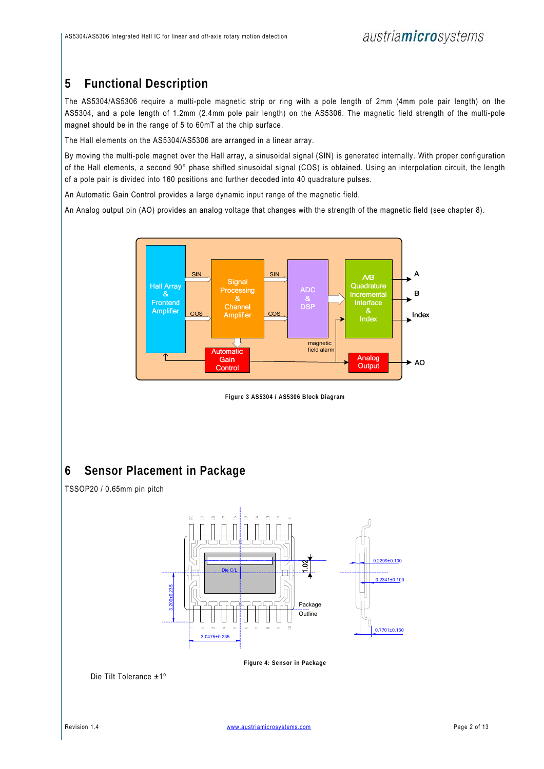# **5 Functional Description**

The AS5304/AS5306 require a multi-pole magnetic strip or ring with a pole length of 2mm (4mm pole pair length) on the AS5304, and a pole length of 1.2mm (2.4mm pole pair length) on the AS5306. The magnetic field strength of the multi-pole magnet should be in the range of 5 to 60mT at the chip surface.

The Hall elements on the AS5304/AS5306 are arranged in a linear array.

By moving the multi-pole magnet over the Hall array, a sinusoidal signal (SIN) is generated internally. With proper configuration of the Hall elements, a second 90° phase shifted sinusoidal signal (COS) is obtained. Using an interpolation circuit, the length of a pole pair is divided into 160 positions and further decoded into 40 quadrature pulses.

An Automatic Gain Control provides a large dynamic input range of the magnetic field.

An Analog output pin (AO) provides an analog voltage that changes with the strength of the magnetic field (see chapter 8).



**Figure 3 AS5304 / AS5306 Block Diagram** 

# **6 Sensor Placement in Package**



TSSOP20 / 0.65mm pin pitch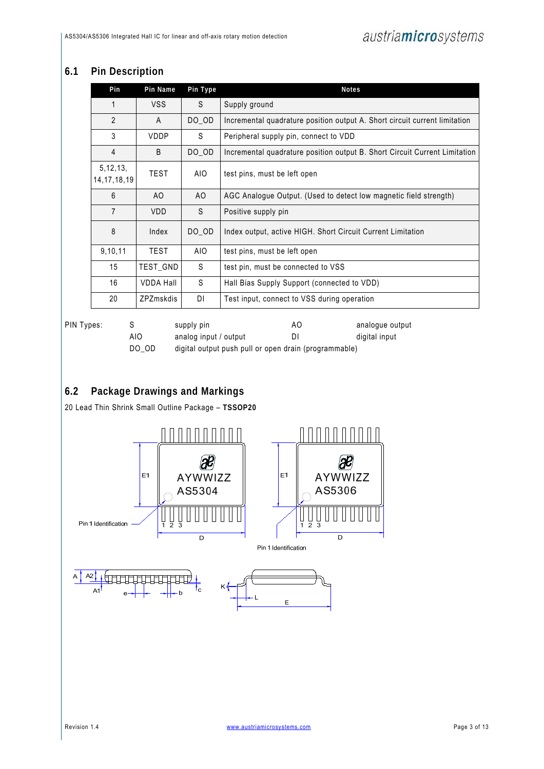## **6.1 Pin Description**

|            | Pin                          | Pin Name         | Pin Type   | <b>Notes</b>                                                               |
|------------|------------------------------|------------------|------------|----------------------------------------------------------------------------|
|            | 1                            | <b>VSS</b>       | S          | Supply ground                                                              |
|            | $\overline{2}$               | A                | DO_OD      | Incremental quadrature position output A. Short circuit current limitation |
|            | 3                            | <b>VDDP</b>      | S          | Peripheral supply pin, connect to VDD                                      |
|            | 4                            | B                | DO_OD      | Incremental quadrature position output B. Short Circuit Current Limitation |
|            | 5, 12, 13,<br>14, 17, 18, 19 | <b>TEST</b>      | AIO.       | test pins, must be left open                                               |
|            | 6                            | AO.              | AO.        | AGC Analogue Output. (Used to detect low magnetic field strength)          |
|            | $\overline{7}$               | <b>VDD</b>       | S          | Positive supply pin                                                        |
|            | 8                            | Index            | DO_OD      | Index output, active HIGH. Short Circuit Current Limitation                |
|            | 9,10,11                      | <b>TEST</b>      | <b>AIO</b> | test pins, must be left open                                               |
|            | 15                           | TEST_GND         | S          | test pin, must be connected to VSS                                         |
|            | 16                           | <b>VDDA Hall</b> | S          | Hall Bias Supply Support (connected to VDD)                                |
|            | 20                           | <b>ZPZmskdis</b> | DΙ         | Test input, connect to VSS during operation                                |
| PIN Types: | S                            |                  | supply pin | AO.<br>analogue output                                                     |

| AIO   | analog input / output                                 | DI | digital input |
|-------|-------------------------------------------------------|----|---------------|
| DO OD | digital output push pull or open drain (programmable) |    |               |

## **6.2 Package Drawings and Markings**

20 Lead Thin Shrink Small Outline Package – **TSSOP20**

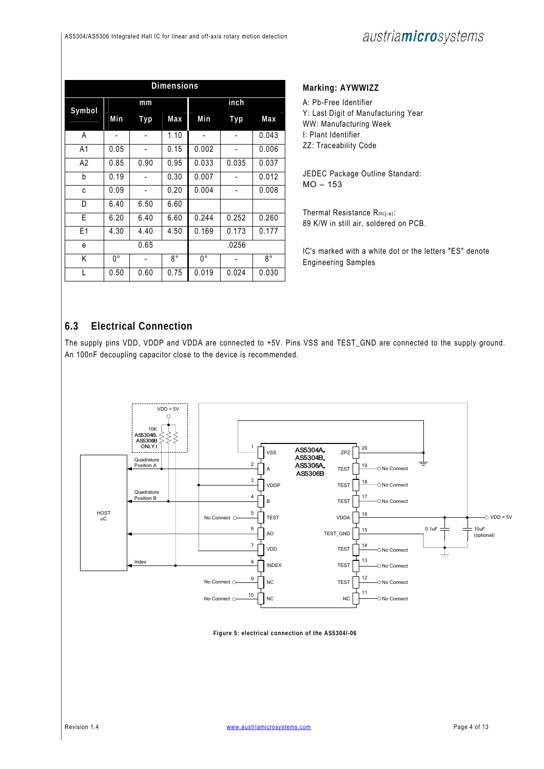|                | <b>Dimensions</b> |      |             |             |       |       |  |  |  |
|----------------|-------------------|------|-------------|-------------|-------|-------|--|--|--|
|                |                   | mm   |             |             | inch  |       |  |  |  |
| Symbol         | Min               | Typ  | Max         | Min         | Typ   | Max   |  |  |  |
| A              |                   |      | 1.10        |             |       | 0.043 |  |  |  |
| A <sub>1</sub> | 0.05              |      | 0.15        | 0.002       |       | 0.006 |  |  |  |
| A2             | 0.85              | 0.90 | 0.95        | 0.033       | 0.035 | 0.037 |  |  |  |
| b              | 0.19              |      | 0.30        | 0.007       |       | 0.012 |  |  |  |
| C              | 0.09              |      | 0.20        | 0.004       |       | 0.008 |  |  |  |
| D              | 6.40              | 6.50 | 6.60        |             |       |       |  |  |  |
| E              | 6.20              | 6.40 | 6.60        | 0.244       | 0.252 | 0.260 |  |  |  |
| E1             | 4.30              | 4.40 | 4.50        | 0.169       | 0.173 | 0.177 |  |  |  |
| e              | 0.65              |      |             |             | .0256 |       |  |  |  |
| K              | 0°                |      | $8^{\circ}$ | $0^{\circ}$ |       | 8°    |  |  |  |
|                | 0.50              | 0.60 | 0.75        | 0.019       | 0.024 | 0.030 |  |  |  |

### **Marking: AYWWIZZ**

A: Pb-Free Identifier Y: Last Digit of Manufacturing Year WW: Manufacturing Week I: Plant Identifier ZZ: Traceability Code

JEDEC Package Outline Standard: MO – 153

Thermal Resistance Rth(j-a): 89 K/W in still air, soldered on PCB.

IC's marked with a white dot or the letters "ES" denote Engineering Samples

## **6.3 Electrical Connection**

The supply pins VDD, VDDP and VDDA are connected to +5V. Pins VSS and TEST\_GND are connected to the supply ground. An 100nF decoupling capacitor close to the device is recommended.



**Figure 5: electrical connection of the AS5304/-06**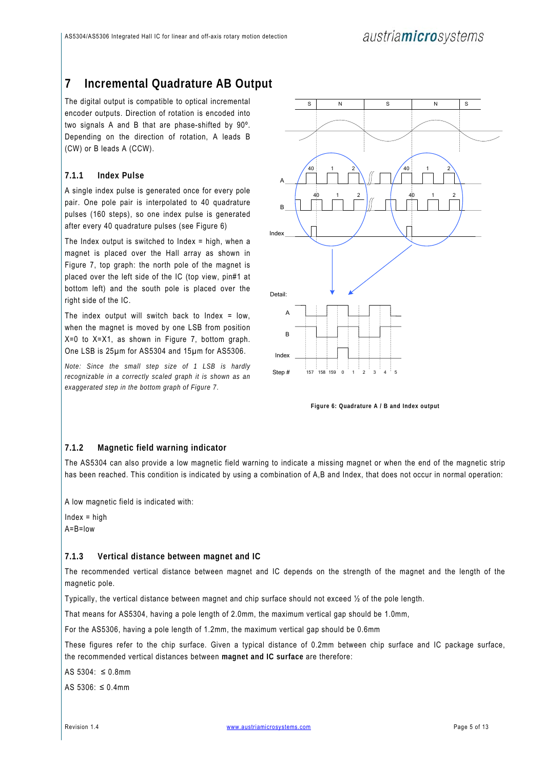# **7 Incremental Quadrature AB Output**

The digital output is compatible to optical incremental encoder outputs. Direction of rotation is encoded into two signals A and B that are phase-shifted by 90º. Depending on the direction of rotation, A leads B (CW) or B leads A (CCW).

### **7.1.1 Index Pulse**

A single index pulse is generated once for every pole pair. One pole pair is interpolated to 40 quadrature pulses (160 steps), so one index pulse is generated after every 40 quadrature pulses (see Figure 6)

The Index output is switched to Index  $=$  high, when a magnet is placed over the Hall array as shown in Figure 7, top graph: the north pole of the magnet is placed over the left side of the IC (top view, pin#1 at bottom left) and the south pole is placed over the right side of the IC.

The index output will switch back to Index  $=$  low, when the magnet is moved by one LSB from position X=0 to X=X1, as shown in Figure 7, bottom graph. One LSB is 25µm for AS5304 and 15µm for AS5306.

*Note: Since the small step size of 1 LSB is hardly recognizable in a correctly scaled graph it is shown as an exaggerated step in the bottom graph of Figure 7*.



**Figure 6: Quadrature A / B and Index output** 

#### **7.1.2 Magnetic field warning indicator**

The AS5304 can also provide a low magnetic field warning to indicate a missing magnet or when the end of the magnetic strip has been reached. This condition is indicated by using a combination of A,B and Index, that does not occur in normal operation:

A low magnetic field is indicated with:

Index = high  $A = B =$ low

#### **7.1.3 Vertical distance between magnet and IC**

The recommended vertical distance between magnet and IC depends on the strength of the magnet and the length of the magnetic pole.

Typically, the vertical distance between magnet and chip surface should not exceed ½ of the pole length.

That means for AS5304, having a pole length of 2.0mm, the maximum vertical gap should be 1.0mm,

For the AS5306, having a pole length of 1.2mm, the maximum vertical gap should be 0.6mm

These figures refer to the chip surface. Given a typical distance of 0.2mm between chip surface and IC package surface, the recommended vertical distances between **magnet and IC surface** are therefore:

AS 5304: ≤ 0.8mm

AS 5306: ≤ 0.4mm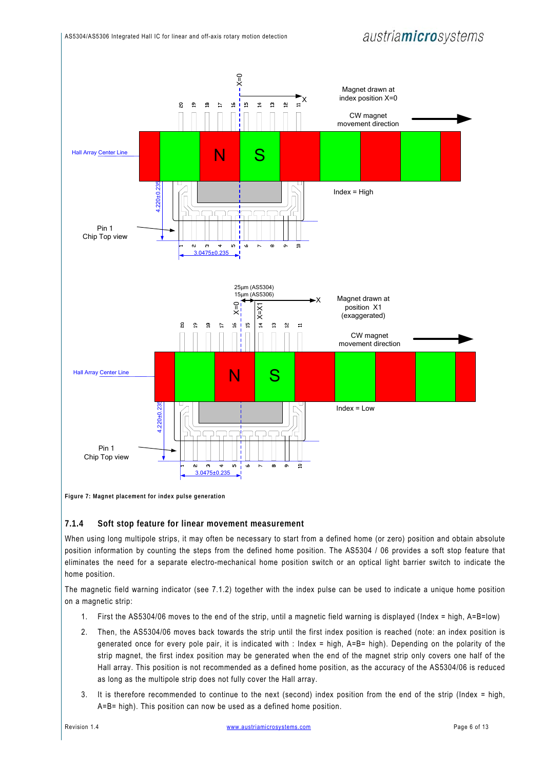

**Figure 7: Magnet placement for index pulse generation** 

#### **7.1.4 Soft stop feature for linear movement measurement**

When using long multipole strips, it may often be necessary to start from a defined home (or zero) position and obtain absolute position information by counting the steps from the defined home position. The AS5304 / 06 provides a soft stop feature that eliminates the need for a separate electro-mechanical home position switch or an optical light barrier switch to indicate the home position.

The magnetic field warning indicator (see 7.1.2) together with the index pulse can be used to indicate a unique home position on a magnetic strip:

- 1. First the AS5304/06 moves to the end of the strip, until a magnetic field warning is displayed (Index = high, A=B=low)
- 2. Then, the AS5304/06 moves back towards the strip until the first index position is reached (note: an index position is generated once for every pole pair, it is indicated with : Index = high, A=B= high). Depending on the polarity of the strip magnet, the first index position may be generated when the end of the magnet strip only covers one half of the Hall array. This position is not recommended as a defined home position, as the accuracy of the AS5304/06 is reduced as long as the multipole strip does not fully cover the Hall array.
- 3. It is therefore recommended to continue to the next (second) index position from the end of the strip (Index = high, A=B= high). This position can now be used as a defined home position.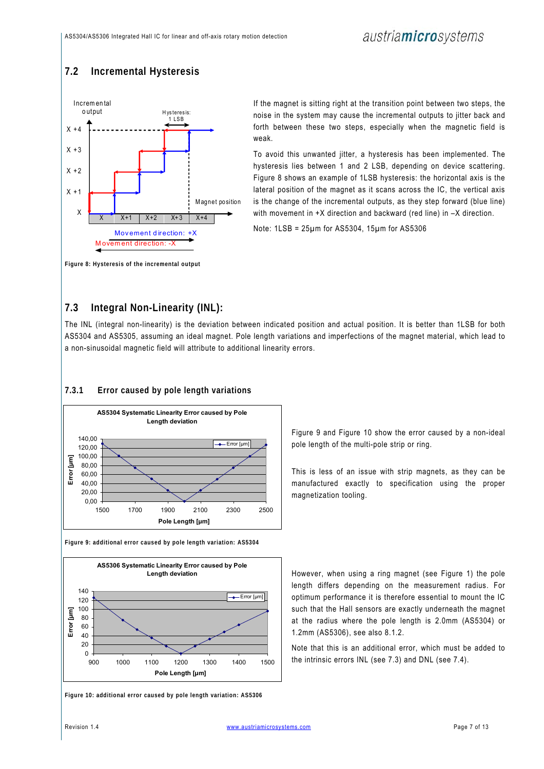## **7.2 Incremental Hysteresis**



If the magnet is sitting right at the transition point between two steps, the noise in the system may cause the incremental outputs to jitter back and forth between these two steps, especially when the magnetic field is weak.

To avoid this unwanted jitter, a hysteresis has been implemented. The hysteresis lies between 1 and 2 LSB, depending on device scattering. Figure 8 shows an example of 1LSB hysteresis: the horizontal axis is the lateral position of the magnet as it scans across the IC, the vertical axis is the change of the incremental outputs, as they step forward (blue line) with movement in +X direction and backward (red line) in  $-X$  direction.

Note: 1LSB = 25µm for AS5304, 15µm for AS5306

**Figure 8: Hysteresis of the incremental output** 

## **7.3 Integral Non-Linearity (INL):**

The INL (integral non-linearity) is the deviation between indicated position and actual position. It is better than 1LSB for both AS5304 and AS5305, assuming an ideal magnet. Pole length variations and imperfections of the magnet material, which lead to a non-sinusoidal magnetic field will attribute to additional linearity errors.

## **7.3.1 Error caused by pole length variations**



**Figure 9: additional error caused by pole length variation: AS5304** 



**Figure 10: additional error caused by pole length variation: AS5306** 

Figure 9 and Figure 10 show the error caused by a non-ideal pole length of the multi-pole strip or ring.

This is less of an issue with strip magnets, as they can be manufactured exactly to specification using the proper magnetization tooling.

However, when using a ring magnet (see Figure 1) the pole length differs depending on the measurement radius. For optimum performance it is therefore essential to mount the IC such that the Hall sensors are exactly underneath the magnet at the radius where the pole length is 2.0mm (AS5304) or 1.2mm (AS5306), see also 8.1.2.

Note that this is an additional error, which must be added to the intrinsic errors INL (see 7.3) and DNL (see 7.4).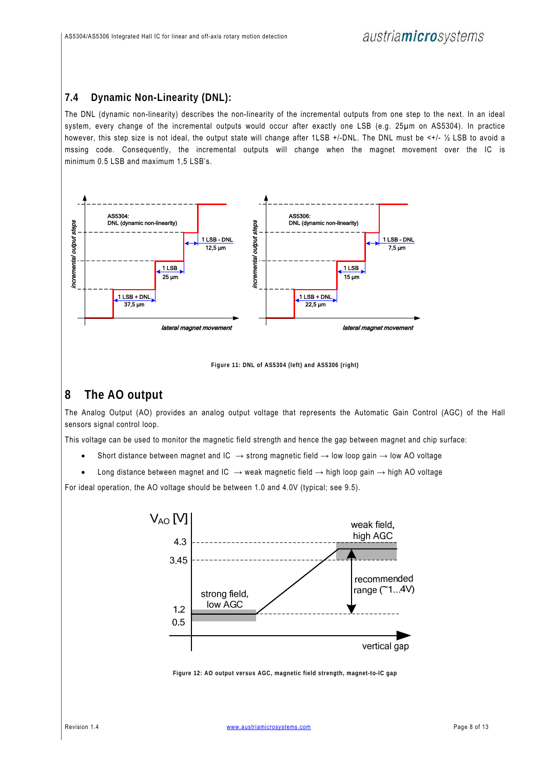## **7.4 Dynamic Non-Linearity (DNL):**

The DNL (dynamic non-linearity) describes the non-linearity of the incremental outputs from one step to the next. In an ideal system, every change of the incremental outputs would occur after exactly one LSB (e.g. 25µm on AS5304). In practice however, this step size is not ideal, the output state will change after 1LSB +/-DNL. The DNL must be <+/- ½ LSB to avoid a mssing code. Consequently, the incremental outputs will change when the magnet movement over the IC is minimum 0.5 LSB and maximum 1,5 LSB's.



**Figure 11: DNL of AS5304 (left) and AS5306 (right)** 

# **8 The AO output**

The Analog Output (AO) provides an analog output voltage that represents the Automatic Gain Control (AGC) of the Hall sensors signal control loop.

This voltage can be used to monitor the magnetic field strength and hence the gap between magnet and chip surface:

- Short distance between magnet and IC  $\rightarrow$  strong magnetic field  $\rightarrow$  low loop gain  $\rightarrow$  low AO voltage
- Long distance between magnet and IC  $\rightarrow$  weak magnetic field  $\rightarrow$  high loop gain  $\rightarrow$  high AO voltage

For ideal operation, the AO voltage should be between 1.0 and 4.0V (typical; see 9.5).



**Figure 12: AO output versus AGC, magnetic field strength, magnet-to-IC gap**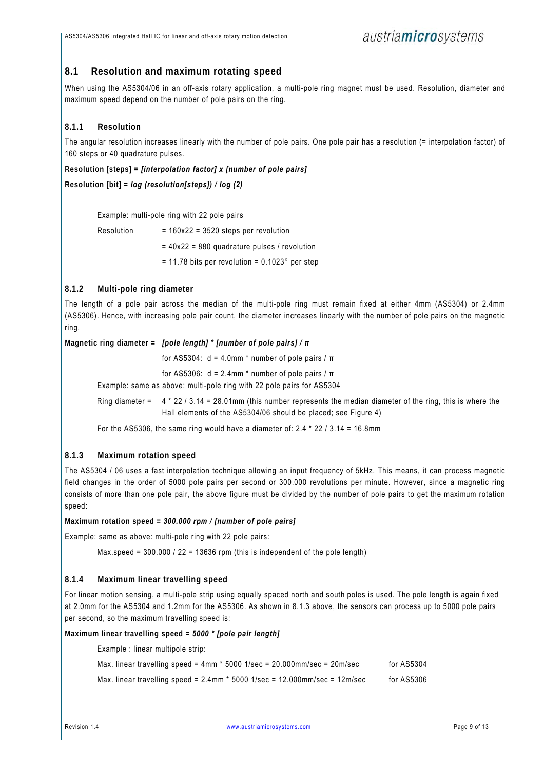## **8.1 Resolution and maximum rotating speed**

When using the AS5304/06 in an off-axis rotary application, a multi-pole ring magnet must be used. Resolution, diameter and maximum speed depend on the number of pole pairs on the ring.

### **8.1.1 Resolution**

The angular resolution increases linearly with the number of pole pairs. One pole pair has a resolution (= interpolation factor) of 160 steps or 40 quadrature pulses.

**Resolution [steps]** *= [interpolation factor] x [number of pole pairs]* 

**Resolution [bit] =** *log (resolution[steps]) / log (2)* 

Example: multi-pole ring with 22 pole pairs

 $Resolution$  = 160x22 = 3520 steps per revolution

= 40x22 = 880 quadrature pulses / revolution

 $= 11.78$  bits per revolution = 0.1023° per step

### **8.1.2 Multi-pole ring diameter**

The length of a pole pair across the median of the multi-pole ring must remain fixed at either 4mm (AS5304) or 2.4mm (AS5306). Hence, with increasing pole pair count, the diameter increases linearly with the number of pole pairs on the magnetic ring.

**Magnetic ring diameter =** *[pole length] \* [number of pole pairs] / π*

for AS5304: d = 4.0mm \* number of pole pairs / π

for AS5306: d = 2.4mm \* number of pole pairs / π

Example: same as above: multi-pole ring with 22 pole pairs for AS5304

Ring diameter = 4 \* 22 / 3.14 = 28.01mm (this number represents the median diameter of the ring, this is where the Hall elements of the AS5304/06 should be placed; see Figure 4)

For the AS5306, the same ring would have a diameter of: 2.4 \* 22 / 3.14 = 16.8mm

### **8.1.3 Maximum rotation speed**

The AS5304 / 06 uses a fast interpolation technique allowing an input frequency of 5kHz. This means, it can process magnetic field changes in the order of 5000 pole pairs per second or 300.000 revolutions per minute. However, since a magnetic ring consists of more than one pole pair, the above figure must be divided by the number of pole pairs to get the maximum rotation speed:

#### **Maximum rotation speed =** *300.000 rpm / [number of pole pairs]*

Example: same as above: multi-pole ring with 22 pole pairs:

Max.speed = 300.000 / 22 = 13636 rpm (this is independent of the pole length)

#### **8.1.4 Maximum linear travelling speed**

For linear motion sensing, a multi-pole strip using equally spaced north and south poles is used. The pole length is again fixed at 2.0mm for the AS5304 and 1.2mm for the AS5306. As shown in 8.1.3 above, the sensors can process up to 5000 pole pairs per second, so the maximum travelling speed is:

**Maximum linear travelling speed =** *5000 \* [pole pair length]* 

Example : linear multipole strip:

| Max. linear travelling speed = $4 \text{mm}$ * 5000 1/sec = 20.000mm/sec = $20 \text{m/sec}$ | for AS5304 |
|----------------------------------------------------------------------------------------------|------------|
| Max. linear travelling speed = $2.4$ mm $*$ 5000 1/sec = 12.000mm/sec = 12m/sec              | for AS5306 |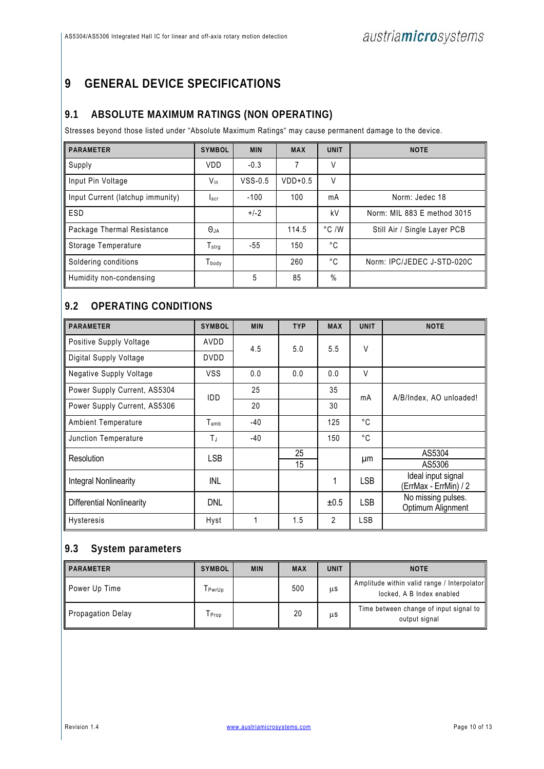# **9 GENERAL DEVICE SPECIFICATIONS**

## **9.1 ABSOLUTE MAXIMUM RATINGS (NON OPERATING)**

Stresses beyond those listed under "Absolute Maximum Ratings" may cause permanent damage to the device.

| <b>PARAMETER</b>                 | <b>SYMBOL</b>     | <b>MIN</b> | <b>MAX</b> | <b>UNIT</b>    | <b>NOTE</b>                  |
|----------------------------------|-------------------|------------|------------|----------------|------------------------------|
| Supply                           | <b>VDD</b>        | $-0.3$     |            | V              |                              |
| Input Pin Voltage                | $V_{in}$          | $VSS-0.5$  | $VDD+0.5$  | $\vee$         |                              |
| Input Current (latchup immunity) | Iscr              | $-100$     | 100        | mA             | Norm: Jedec 18               |
| ESD                              |                   | $+/-2$     |            | kV             | Norm: MIL 883 E method 3015  |
| Package Thermal Resistance       | $\Theta$ ja       |            | 114.5      | $\degree$ C /W | Still Air / Single Layer PCB |
| Storage Temperature              | $T_{\rm strg}$    | -55        | 150        | °C             |                              |
| Soldering conditions             | T <sub>body</sub> |            | 260        | °C             | Norm: IPC/JEDEC J-STD-020C   |
| Humidity non-condensing          |                   | 5          | 85         | $\%$           |                              |

## **9.2 OPERATING CONDITIONS**

| <b>PARAMETER</b>                 | <b>SYMBOL</b> | <b>MIN</b> | <b>TYP</b> | <b>MAX</b> | <b>UNIT</b> | <b>NOTE</b>                                 |
|----------------------------------|---------------|------------|------------|------------|-------------|---------------------------------------------|
| Positive Supply Voltage          | AVDD          | 4.5        | 5.0        | 5.5        | V           |                                             |
| Digital Supply Voltage           | <b>DVDD</b>   |            |            |            |             |                                             |
| Negative Supply Voltage          | <b>VSS</b>    | 0.0        | 0.0        | 0.0        | V           |                                             |
| Power Supply Current, AS5304     | <b>IDD</b>    | 25         |            | 35         | mA          | A/B/Index, AO unloaded!                     |
| Power Supply Current, AS5306     |               | 20         |            | 30         |             |                                             |
| Ambient Temperature              | $T_{\sf amb}$ | $-40$      |            | 125        | °C          |                                             |
| Junction Temperature             | TJ            | $-40$      |            | 150        | °C          |                                             |
| Resolution                       | <b>LSB</b>    |            | 25         |            |             | AS5304                                      |
|                                  |               |            | 15         |            | μm          | AS5306                                      |
| Integral Nonlinearity            | INL           |            |            | 1          | LSB         | Ideal input signal<br>(ErrMax - ErrMin) / 2 |
| <b>Differential Nonlinearity</b> | <b>DNL</b>    |            |            | ±0.5       | LSB         | No missing pulses.<br>Optimum Alignment     |
| <b>Hysteresis</b>                | Hyst          | 1          | 1.5        | 2          | LSB         |                                             |

# **9.3 System parameters**

| <b>PARAMETER</b>  | <b>SYMBOL</b> | <b>MIN</b> | <b>MAX</b> | <b>UNIT</b> | <b>NOTE</b>                                                              |
|-------------------|---------------|------------|------------|-------------|--------------------------------------------------------------------------|
| Power Up Time     | 「Pwr∪p        |            | 500        | μs          | Amplitude within valid range / Interpolator<br>locked, A B Index enabled |
| Propagation Delay | Tprop         |            | 20         | μs          | Time between change of input signal to<br>output signal                  |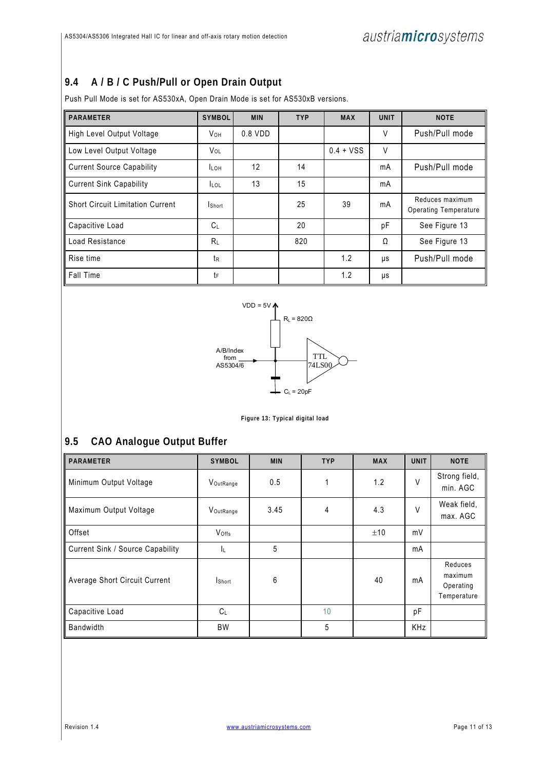## **9.4 A / B / C Push/Pull or Open Drain Output**

Push Pull Mode is set for AS530xA, Open Drain Mode is set for AS530xB versions.

| <b>PARAMETER</b>                        | <b>SYMBOL</b> | <b>MIN</b> | <b>TYP</b> | <b>MAX</b>  | <b>UNIT</b> | <b>NOTE</b>                                     |
|-----------------------------------------|---------------|------------|------------|-------------|-------------|-------------------------------------------------|
| High Level Output Voltage               | VOH           | $0.8$ VDD  |            |             | V           | Push/Pull mode                                  |
| Low Level Output Voltage                | VOL           |            |            | $0.4 + VSS$ | $\vee$      |                                                 |
| Current Source Capability               | <b>LOH</b>    | 12         | 14         |             | mA          | Push/Pull mode                                  |
| Current Sink Capability                 | <b>LOL</b>    | 13         | 15         |             | mA          |                                                 |
| <b>Short Circuit Limitation Current</b> | <b>Short</b>  |            | 25         | 39          | mA          | Reduces maximum<br><b>Operating Temperature</b> |
| Capacitive Load                         | $C_{\perp}$   |            | 20         |             | рF          | See Figure 13                                   |
| Load Resistance                         | $R_{\perp}$   |            | 820        |             | Ω           | See Figure 13                                   |
| Rise time                               | tr            |            |            | 1.2         | μs          | Push/Pull mode                                  |
| ll Fall Time                            | tF            |            |            | 1.2         | μs          |                                                 |



**Figure 13: Typical digital load** 

# **9.5 CAO Analogue Output Buffer**

| <b>PARAMETER</b>                 | <b>SYMBOL</b> | <b>MIN</b> | <b>TYP</b> | <b>MAX</b> | <b>UNIT</b> | <b>NOTE</b>                                    |
|----------------------------------|---------------|------------|------------|------------|-------------|------------------------------------------------|
| Minimum Output Voltage           | VOutRange     | 0.5        |            | 1.2        | $\vee$      | Strong field,<br>min. AGC                      |
| Maximum Output Voltage           | VoutRange     | 3.45       | 4          | 4.3        | V           | Weak field,<br>max. AGC                        |
| Offset                           | Voffs         |            |            | ±10        | mV          |                                                |
| Current Sink / Source Capability | ΙL.           | 5          |            |            | mA          |                                                |
| Average Short Circuit Current    | <b>Short</b>  | 6          |            | 40         | mA          | Reduces<br>maximum<br>Operating<br>Temperature |
| Capacitive Load                  | $C_L$         |            | 10         |            | pF          |                                                |
| Bandwidth                        | BW            |            | 5          |            | <b>KHz</b>  |                                                |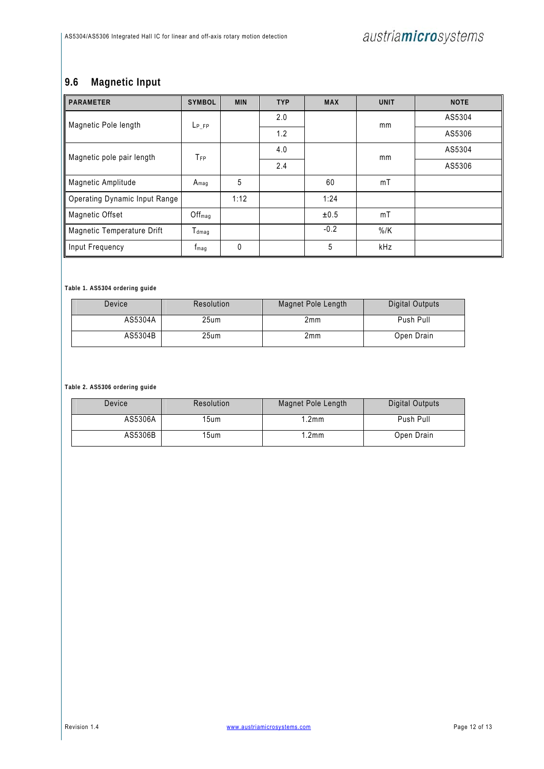# **9.6 Magnetic Input**

| <b>PARAMETER</b>                     | <b>SYMBOL</b>                | <b>MIN</b> | <b>TYP</b> | <b>MAX</b> | <b>UNIT</b> | <b>NOTE</b> |
|--------------------------------------|------------------------------|------------|------------|------------|-------------|-------------|
| Magnetic Pole length                 | L <sub>P</sub> FP            |            | 2.0        |            | mm          | AS5304      |
|                                      |                              |            | 1.2        |            |             | AS5306      |
| Magnetic pole pair length            | TFP                          |            | 4.0        |            | mm          | AS5304      |
|                                      |                              |            | 2.4        |            |             | AS5306      |
| Magnetic Amplitude                   | $A_{mag}$                    | 5          |            | 60         | mT          |             |
| <b>Operating Dynamic Input Range</b> |                              | 1:12       |            | 1:24       |             |             |
| <b>Magnetic Offset</b>               | $Off_{mag}$                  |            |            | ±0.5       | mT          |             |
| Magnetic Temperature Drift           | $\mathsf{T}_{\textsf{dmaq}}$ |            |            | $-0.2$     | $\%$ /K     |             |
| Input Frequency                      | <b>t</b> <sub>mag</sub>      | $\Omega$   |            | 5          | kHz         |             |

**Table 1. AS5304 ordering guide** 

| <b>Device</b> | Resolution | Magnet Pole Length | Digital Outputs |  |  |
|---------------|------------|--------------------|-----------------|--|--|
| AS5304A       | 25um       | 2mm                | Push Pull       |  |  |
| AS5304B       | 25um       | 2mm                | Open Drain      |  |  |

**Table 2. AS5306 ordering guide** 

| Device          | Resolution | Magnet Pole Length | Digital Outputs |  |  |
|-----------------|------------|--------------------|-----------------|--|--|
| AS5306A<br>15um |            | .2 <sub>m</sub>    | Push Pull       |  |  |
| AS5306B<br>15um |            | .2 <sub>m</sub>    | Open Drain      |  |  |